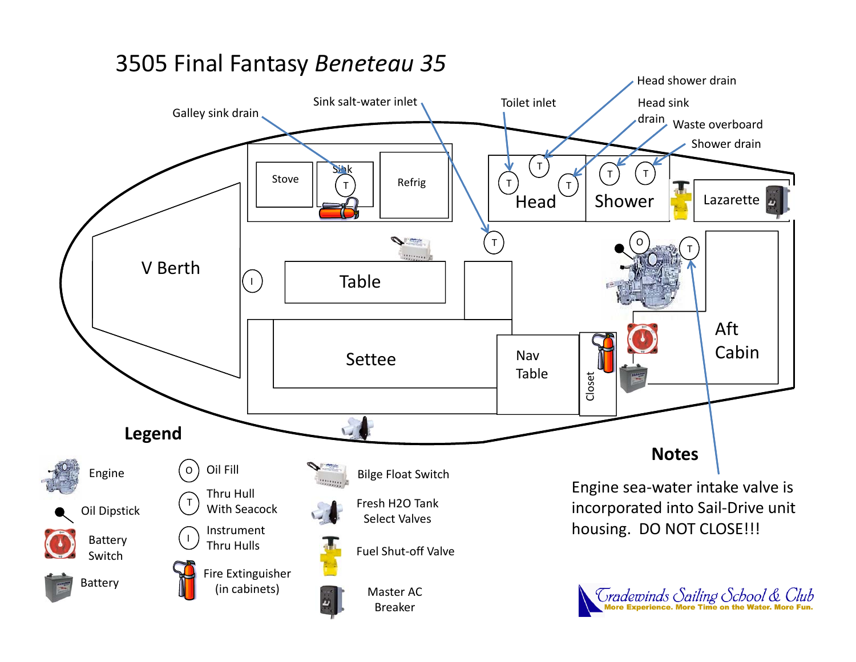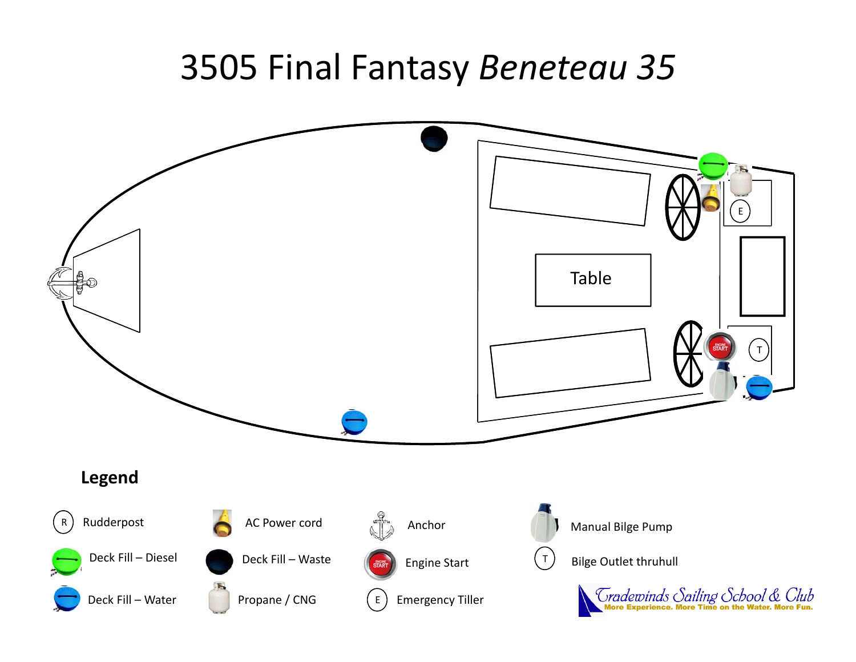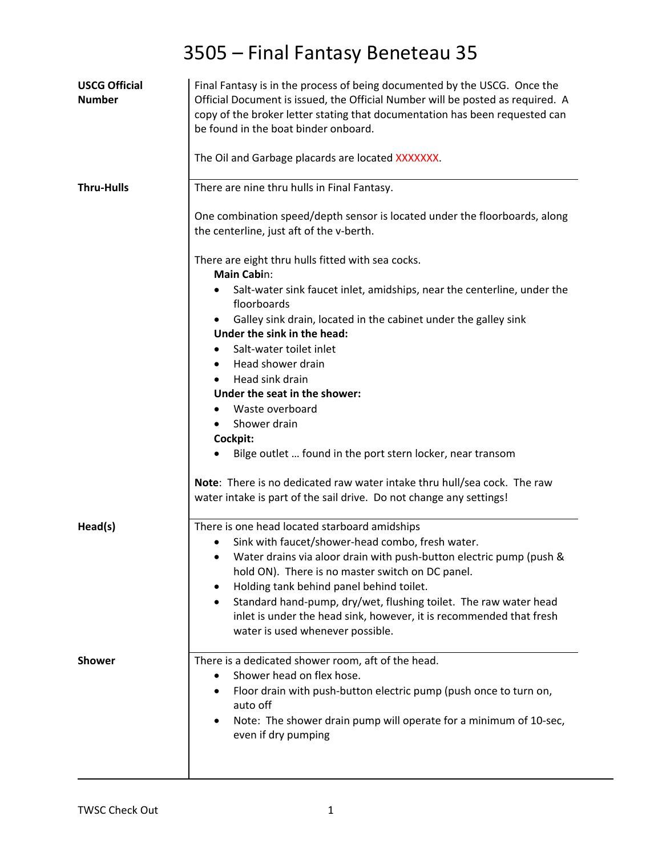| <b>USCG Official</b><br><b>Number</b> | Final Fantasy is in the process of being documented by the USCG. Once the<br>Official Document is issued, the Official Number will be posted as required. A<br>copy of the broker letter stating that documentation has been requested can<br>be found in the boat binder onboard.<br>The Oil and Garbage placards are located XXXXXXX. |
|---------------------------------------|-----------------------------------------------------------------------------------------------------------------------------------------------------------------------------------------------------------------------------------------------------------------------------------------------------------------------------------------|
| <b>Thru-Hulls</b>                     | There are nine thru hulls in Final Fantasy.                                                                                                                                                                                                                                                                                             |
|                                       | One combination speed/depth sensor is located under the floorboards, along<br>the centerline, just aft of the v-berth.                                                                                                                                                                                                                  |
|                                       | There are eight thru hulls fitted with sea cocks.<br><b>Main Cabin:</b>                                                                                                                                                                                                                                                                 |
|                                       | Salt-water sink faucet inlet, amidships, near the centerline, under the<br>floorboards                                                                                                                                                                                                                                                  |
|                                       | Galley sink drain, located in the cabinet under the galley sink<br>Under the sink in the head:                                                                                                                                                                                                                                          |
|                                       | Salt-water toilet inlet                                                                                                                                                                                                                                                                                                                 |
|                                       | Head shower drain                                                                                                                                                                                                                                                                                                                       |
|                                       | Head sink drain<br>Under the seat in the shower:                                                                                                                                                                                                                                                                                        |
|                                       | Waste overboard                                                                                                                                                                                                                                                                                                                         |
|                                       | Shower drain                                                                                                                                                                                                                                                                                                                            |
|                                       | Cockpit:                                                                                                                                                                                                                                                                                                                                |
|                                       | Bilge outlet  found in the port stern locker, near transom                                                                                                                                                                                                                                                                              |
|                                       | Note: There is no dedicated raw water intake thru hull/sea cock. The raw<br>water intake is part of the sail drive. Do not change any settings!                                                                                                                                                                                         |
| Head(s)                               | There is one head located starboard amidships                                                                                                                                                                                                                                                                                           |
|                                       | Sink with faucet/shower-head combo, fresh water.                                                                                                                                                                                                                                                                                        |
|                                       | Water drains via aloor drain with push-button electric pump (push &<br>hold ON). There is no master switch on DC panel.                                                                                                                                                                                                                 |
|                                       | Holding tank behind panel behind toilet.<br>٠                                                                                                                                                                                                                                                                                           |
|                                       | Standard hand-pump, dry/wet, flushing toilet. The raw water head<br>inlet is under the head sink, however, it is recommended that fresh<br>water is used whenever possible.                                                                                                                                                             |
| <b>Shower</b>                         | There is a dedicated shower room, aft of the head.                                                                                                                                                                                                                                                                                      |
|                                       | Shower head on flex hose.                                                                                                                                                                                                                                                                                                               |
|                                       | Floor drain with push-button electric pump (push once to turn on,<br>٠<br>auto off                                                                                                                                                                                                                                                      |
|                                       | Note: The shower drain pump will operate for a minimum of 10-sec,<br>even if dry pumping                                                                                                                                                                                                                                                |
|                                       |                                                                                                                                                                                                                                                                                                                                         |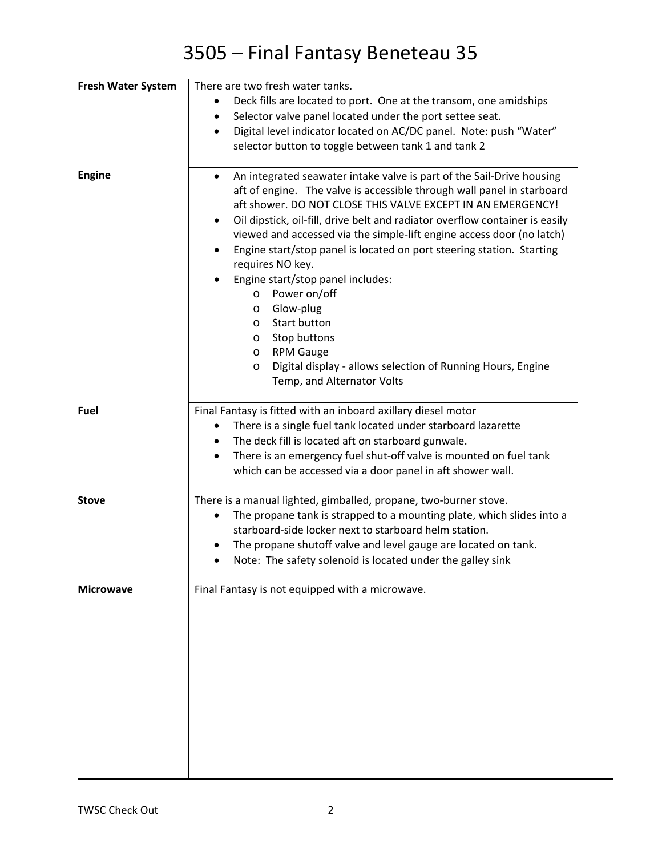| <b>Fresh Water System</b> | There are two fresh water tanks.                                                                                                                                                                                                                                                                                                                                                                                                                                                                                                                                                                                                                                                                                                                                              |
|---------------------------|-------------------------------------------------------------------------------------------------------------------------------------------------------------------------------------------------------------------------------------------------------------------------------------------------------------------------------------------------------------------------------------------------------------------------------------------------------------------------------------------------------------------------------------------------------------------------------------------------------------------------------------------------------------------------------------------------------------------------------------------------------------------------------|
|                           | Deck fills are located to port. One at the transom, one amidships                                                                                                                                                                                                                                                                                                                                                                                                                                                                                                                                                                                                                                                                                                             |
|                           | Selector valve panel located under the port settee seat.                                                                                                                                                                                                                                                                                                                                                                                                                                                                                                                                                                                                                                                                                                                      |
|                           | Digital level indicator located on AC/DC panel. Note: push "Water"<br>$\bullet$                                                                                                                                                                                                                                                                                                                                                                                                                                                                                                                                                                                                                                                                                               |
|                           | selector button to toggle between tank 1 and tank 2                                                                                                                                                                                                                                                                                                                                                                                                                                                                                                                                                                                                                                                                                                                           |
|                           |                                                                                                                                                                                                                                                                                                                                                                                                                                                                                                                                                                                                                                                                                                                                                                               |
| <b>Engine</b>             | An integrated seawater intake valve is part of the Sail-Drive housing<br>aft of engine. The valve is accessible through wall panel in starboard<br>aft shower. DO NOT CLOSE THIS VALVE EXCEPT IN AN EMERGENCY!<br>Oil dipstick, oil-fill, drive belt and radiator overflow container is easily<br>$\bullet$<br>viewed and accessed via the simple-lift engine access door (no latch)<br>Engine start/stop panel is located on port steering station. Starting<br>$\bullet$<br>requires NO key.<br>Engine start/stop panel includes:<br>Power on/off<br>$\circ$<br>Glow-plug<br>$\circ$<br>Start button<br>$\circ$<br>Stop buttons<br>O<br><b>RPM Gauge</b><br>$\circ$<br>Digital display - allows selection of Running Hours, Engine<br>$\circ$<br>Temp, and Alternator Volts |
| Fuel                      | Final Fantasy is fitted with an inboard axillary diesel motor                                                                                                                                                                                                                                                                                                                                                                                                                                                                                                                                                                                                                                                                                                                 |
|                           | There is a single fuel tank located under starboard lazarette<br>٠                                                                                                                                                                                                                                                                                                                                                                                                                                                                                                                                                                                                                                                                                                            |
|                           | The deck fill is located aft on starboard gunwale.<br>٠                                                                                                                                                                                                                                                                                                                                                                                                                                                                                                                                                                                                                                                                                                                       |
|                           | There is an emergency fuel shut-off valve is mounted on fuel tank                                                                                                                                                                                                                                                                                                                                                                                                                                                                                                                                                                                                                                                                                                             |
|                           | which can be accessed via a door panel in aft shower wall.                                                                                                                                                                                                                                                                                                                                                                                                                                                                                                                                                                                                                                                                                                                    |
|                           |                                                                                                                                                                                                                                                                                                                                                                                                                                                                                                                                                                                                                                                                                                                                                                               |
| <b>Stove</b>              | There is a manual lighted, gimballed, propane, two-burner stove.                                                                                                                                                                                                                                                                                                                                                                                                                                                                                                                                                                                                                                                                                                              |
|                           | The propane tank is strapped to a mounting plate, which slides into a                                                                                                                                                                                                                                                                                                                                                                                                                                                                                                                                                                                                                                                                                                         |
|                           | starboard-side locker next to starboard helm station.                                                                                                                                                                                                                                                                                                                                                                                                                                                                                                                                                                                                                                                                                                                         |
|                           | The propane shutoff valve and level gauge are located on tank.                                                                                                                                                                                                                                                                                                                                                                                                                                                                                                                                                                                                                                                                                                                |
|                           | Note: The safety solenoid is located under the galley sink                                                                                                                                                                                                                                                                                                                                                                                                                                                                                                                                                                                                                                                                                                                    |
|                           |                                                                                                                                                                                                                                                                                                                                                                                                                                                                                                                                                                                                                                                                                                                                                                               |
| <b>Microwave</b>          | Final Fantasy is not equipped with a microwave.                                                                                                                                                                                                                                                                                                                                                                                                                                                                                                                                                                                                                                                                                                                               |
|                           |                                                                                                                                                                                                                                                                                                                                                                                                                                                                                                                                                                                                                                                                                                                                                                               |
|                           |                                                                                                                                                                                                                                                                                                                                                                                                                                                                                                                                                                                                                                                                                                                                                                               |
|                           |                                                                                                                                                                                                                                                                                                                                                                                                                                                                                                                                                                                                                                                                                                                                                                               |
|                           |                                                                                                                                                                                                                                                                                                                                                                                                                                                                                                                                                                                                                                                                                                                                                                               |
|                           |                                                                                                                                                                                                                                                                                                                                                                                                                                                                                                                                                                                                                                                                                                                                                                               |
|                           |                                                                                                                                                                                                                                                                                                                                                                                                                                                                                                                                                                                                                                                                                                                                                                               |
|                           |                                                                                                                                                                                                                                                                                                                                                                                                                                                                                                                                                                                                                                                                                                                                                                               |
|                           |                                                                                                                                                                                                                                                                                                                                                                                                                                                                                                                                                                                                                                                                                                                                                                               |
|                           |                                                                                                                                                                                                                                                                                                                                                                                                                                                                                                                                                                                                                                                                                                                                                                               |
|                           |                                                                                                                                                                                                                                                                                                                                                                                                                                                                                                                                                                                                                                                                                                                                                                               |
|                           |                                                                                                                                                                                                                                                                                                                                                                                                                                                                                                                                                                                                                                                                                                                                                                               |
|                           |                                                                                                                                                                                                                                                                                                                                                                                                                                                                                                                                                                                                                                                                                                                                                                               |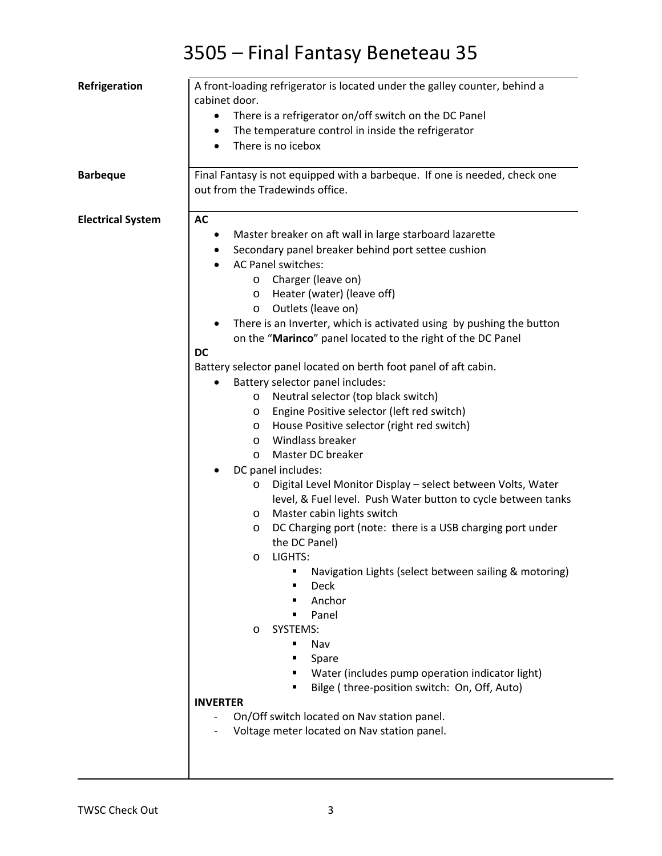| cabinet door.<br>There is a refrigerator on/off switch on the DC Panel<br>٠<br>The temperature control in inside the refrigerator<br>There is no icebox<br>Final Fantasy is not equipped with a barbeque. If one is needed, check one<br><b>Barbeque</b> |  |
|----------------------------------------------------------------------------------------------------------------------------------------------------------------------------------------------------------------------------------------------------------|--|
|                                                                                                                                                                                                                                                          |  |
|                                                                                                                                                                                                                                                          |  |
|                                                                                                                                                                                                                                                          |  |
|                                                                                                                                                                                                                                                          |  |
| out from the Tradewinds office.                                                                                                                                                                                                                          |  |
| <b>AC</b><br><b>Electrical System</b>                                                                                                                                                                                                                    |  |
| Master breaker on aft wall in large starboard lazarette                                                                                                                                                                                                  |  |
| Secondary panel breaker behind port settee cushion                                                                                                                                                                                                       |  |
| AC Panel switches:                                                                                                                                                                                                                                       |  |
| Charger (leave on)<br>$\circ$                                                                                                                                                                                                                            |  |
| Heater (water) (leave off)<br>$\circ$                                                                                                                                                                                                                    |  |
| Outlets (leave on)<br>O                                                                                                                                                                                                                                  |  |
| There is an Inverter, which is activated using by pushing the button                                                                                                                                                                                     |  |
| on the "Marinco" panel located to the right of the DC Panel                                                                                                                                                                                              |  |
| <b>DC</b>                                                                                                                                                                                                                                                |  |
| Battery selector panel located on berth foot panel of aft cabin.                                                                                                                                                                                         |  |
| Battery selector panel includes:                                                                                                                                                                                                                         |  |
| Neutral selector (top black switch)<br>$\circ$                                                                                                                                                                                                           |  |
| Engine Positive selector (left red switch)<br>$\circ$                                                                                                                                                                                                    |  |
| House Positive selector (right red switch)<br>$\circ$                                                                                                                                                                                                    |  |
| Windlass breaker<br>$\circ$                                                                                                                                                                                                                              |  |
| Master DC breaker<br>$\circ$                                                                                                                                                                                                                             |  |
| DC panel includes:                                                                                                                                                                                                                                       |  |
| Digital Level Monitor Display - select between Volts, Water<br>O                                                                                                                                                                                         |  |
| level, & Fuel level. Push Water button to cycle between tanks                                                                                                                                                                                            |  |
| Master cabin lights switch<br>$\circ$                                                                                                                                                                                                                    |  |
| DC Charging port (note: there is a USB charging port under<br>$\circ$                                                                                                                                                                                    |  |
| the DC Panel)<br>LIGHTS:                                                                                                                                                                                                                                 |  |
| O<br>Navigation Lights (select between sailing & motoring)                                                                                                                                                                                               |  |
| <b>Deck</b>                                                                                                                                                                                                                                              |  |
| Anchor                                                                                                                                                                                                                                                   |  |
| Panel                                                                                                                                                                                                                                                    |  |
| SYSTEMS:<br>$\circ$                                                                                                                                                                                                                                      |  |
| Nav                                                                                                                                                                                                                                                      |  |
| Spare                                                                                                                                                                                                                                                    |  |
| Water (includes pump operation indicator light)                                                                                                                                                                                                          |  |
| Bilge (three-position switch: On, Off, Auto)                                                                                                                                                                                                             |  |
| <b>INVERTER</b>                                                                                                                                                                                                                                          |  |
| On/Off switch located on Nav station panel.                                                                                                                                                                                                              |  |
| Voltage meter located on Nav station panel.                                                                                                                                                                                                              |  |
|                                                                                                                                                                                                                                                          |  |
|                                                                                                                                                                                                                                                          |  |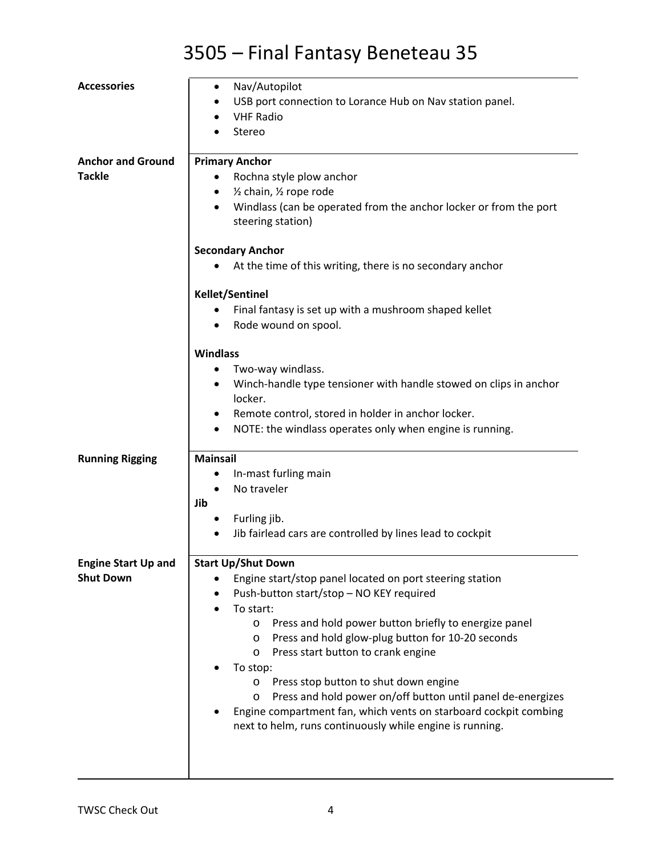| <b>Accessories</b>                             | Nav/Autopilot<br>٠<br>USB port connection to Lorance Hub on Nav station panel.<br><b>VHF Radio</b><br>Stereo                                                                                                                                                                                                                                                                                                                                                                                                                                                                    |
|------------------------------------------------|---------------------------------------------------------------------------------------------------------------------------------------------------------------------------------------------------------------------------------------------------------------------------------------------------------------------------------------------------------------------------------------------------------------------------------------------------------------------------------------------------------------------------------------------------------------------------------|
| <b>Anchor and Ground</b><br><b>Tackle</b>      | <b>Primary Anchor</b><br>Rochna style plow anchor<br>1/2 chain, 1/2 rope rode<br>٠<br>Windlass (can be operated from the anchor locker or from the port<br>steering station)                                                                                                                                                                                                                                                                                                                                                                                                    |
|                                                | <b>Secondary Anchor</b><br>At the time of this writing, there is no secondary anchor                                                                                                                                                                                                                                                                                                                                                                                                                                                                                            |
|                                                | <b>Kellet/Sentinel</b><br>Final fantasy is set up with a mushroom shaped kellet<br>Rode wound on spool.                                                                                                                                                                                                                                                                                                                                                                                                                                                                         |
|                                                | <b>Windlass</b><br>Two-way windlass.<br>Winch-handle type tensioner with handle stowed on clips in anchor<br>locker.<br>Remote control, stored in holder in anchor locker.<br>٠<br>NOTE: the windlass operates only when engine is running.<br>٠                                                                                                                                                                                                                                                                                                                                |
| <b>Running Rigging</b>                         | <b>Mainsail</b><br>In-mast furling main<br>No traveler<br>$\bullet$<br>Jib<br>Furling jib.<br>Jib fairlead cars are controlled by lines lead to cockpit                                                                                                                                                                                                                                                                                                                                                                                                                         |
| <b>Engine Start Up and</b><br><b>Shut Down</b> | <b>Start Up/Shut Down</b><br>Engine start/stop panel located on port steering station<br>Push-button start/stop - NO KEY required<br>To start:<br>Press and hold power button briefly to energize panel<br>O<br>Press and hold glow-plug button for 10-20 seconds<br>O<br>Press start button to crank engine<br>O<br>To stop:<br>Press stop button to shut down engine<br>O<br>Press and hold power on/off button until panel de-energizes<br>O<br>Engine compartment fan, which vents on starboard cockpit combing<br>next to helm, runs continuously while engine is running. |